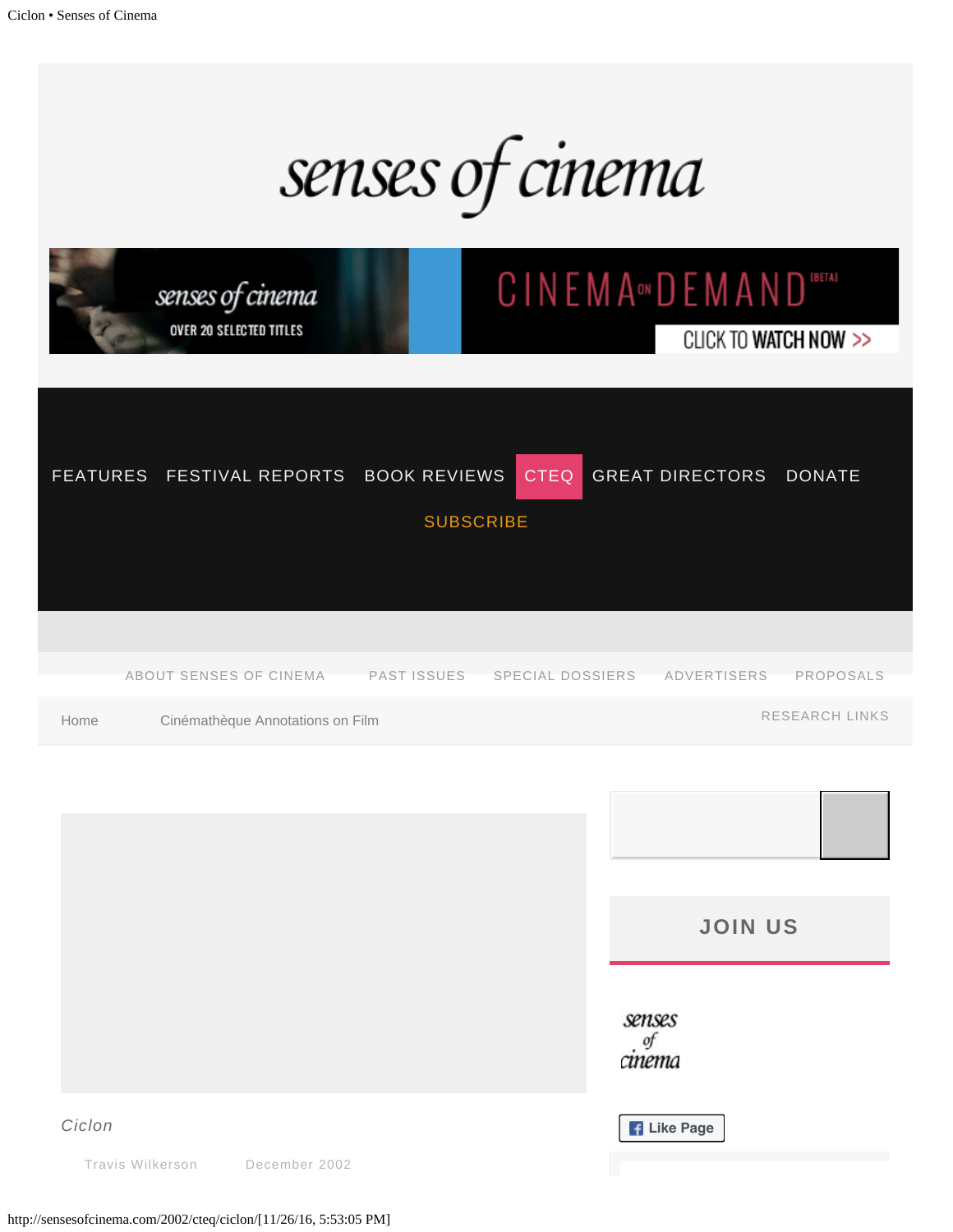

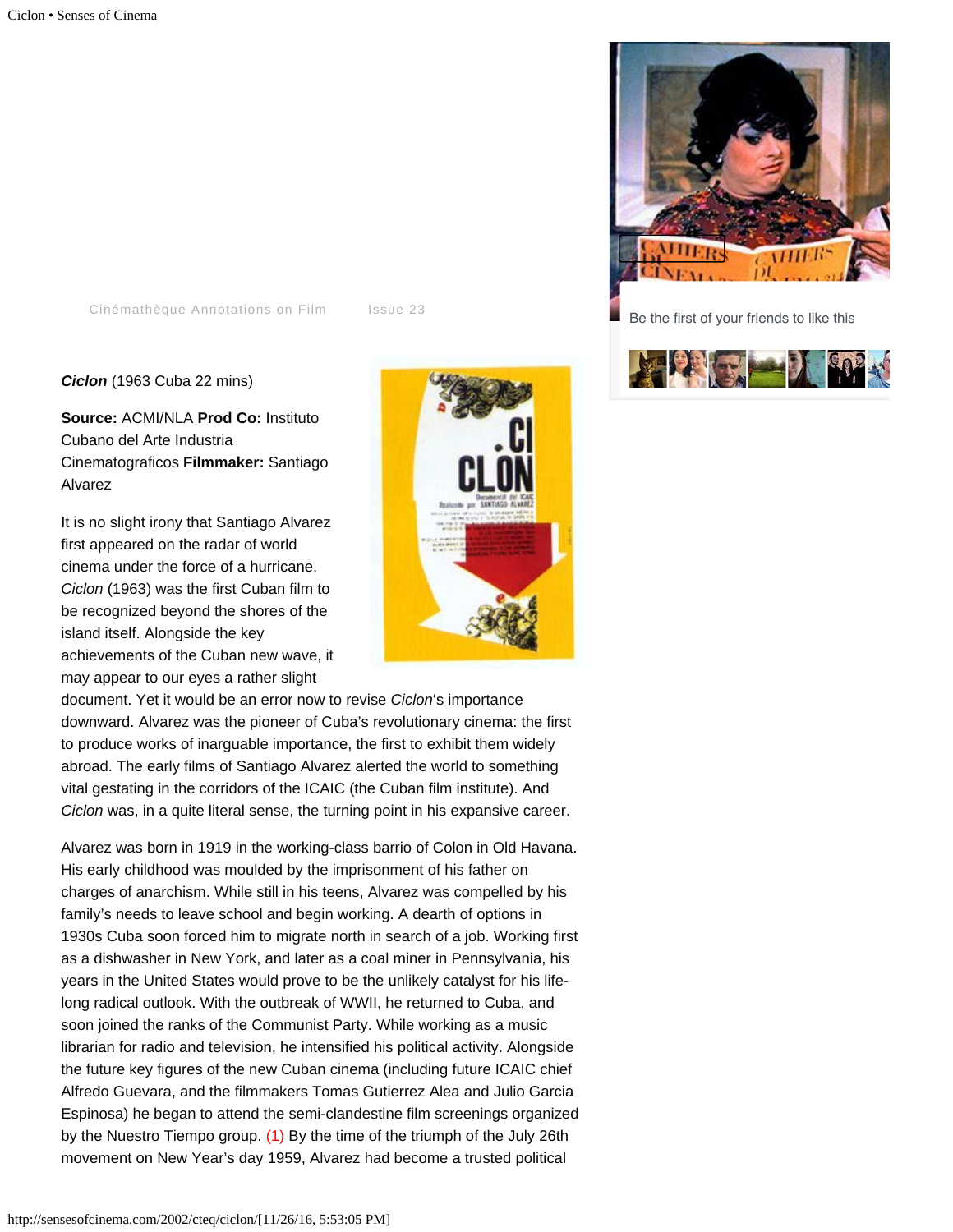[Cinémathèque Annotations on Film](http://sensesofcinema.com/category/cteq/) [Issue 23](http://sensesofcinema.com/issues/issue-23/)

*Ciclon* (1963 Cuba 22 mins)

**Source:** ACMI/NLA **Prod Co:** Instituto Cubano del Arte Industria Cinematograficos **Filmmaker:** Santiago Alvarez

It is no slight irony that Santiago Alvarez first appeared on the radar of world cinema under the force of a hurricane. *Ciclon* (1963) was the first Cuban film to be recognized beyond the shores of the island itself. Alongside the key achievements of the Cuban new wave, it may appear to our eyes a rather slight

document. Yet it would be an error now to revise *Ciclon*'s importance downward. Alvarez was the pioneer of Cuba's revolutionary cinema: the first to produce works of inarguable importance, the first to exhibit them widely abroad. The early films of Santiago Alvarez alerted the world to something vital gestating in the corridors of the ICAIC (the Cuban film institute). And *Ciclon* was, in a quite literal sense, the turning point in his expansive career.

<span id="page-1-0"></span>Alvarez was born in 1919 in the working-class barrio of Colon in Old Havana. His early childhood was moulded by the imprisonment of his father on charges of anarchism. While still in his teens, Alvarez was compelled by his family's needs to leave school and begin working. A dearth of options in 1930s Cuba soon forced him to migrate north in search of a job. Working first as a dishwasher in New York, and later as a coal miner in Pennsylvania, his years in the United States would prove to be the unlikely catalyst for his lifelong radical outlook. With the outbreak of WWII, he returned to Cuba, and soon joined the ranks of the Communist Party. While working as a music librarian for radio and television, he intensified his political activity. Alongside the future key figures of the new Cuban cinema (including future ICAIC chief Alfredo Guevara, and the filmmakers Tomas Gutierrez Alea and Julio Garcia Espinosa) he began to attend the semi-clandestine film screenings organized by the Nuestro Tiempo group. [\(1\)](#page-3-0) By the time of the triumph of the July 26th movement on New Year's day 1959, Alvarez had become a trusted political





Be the first of your friends to like this

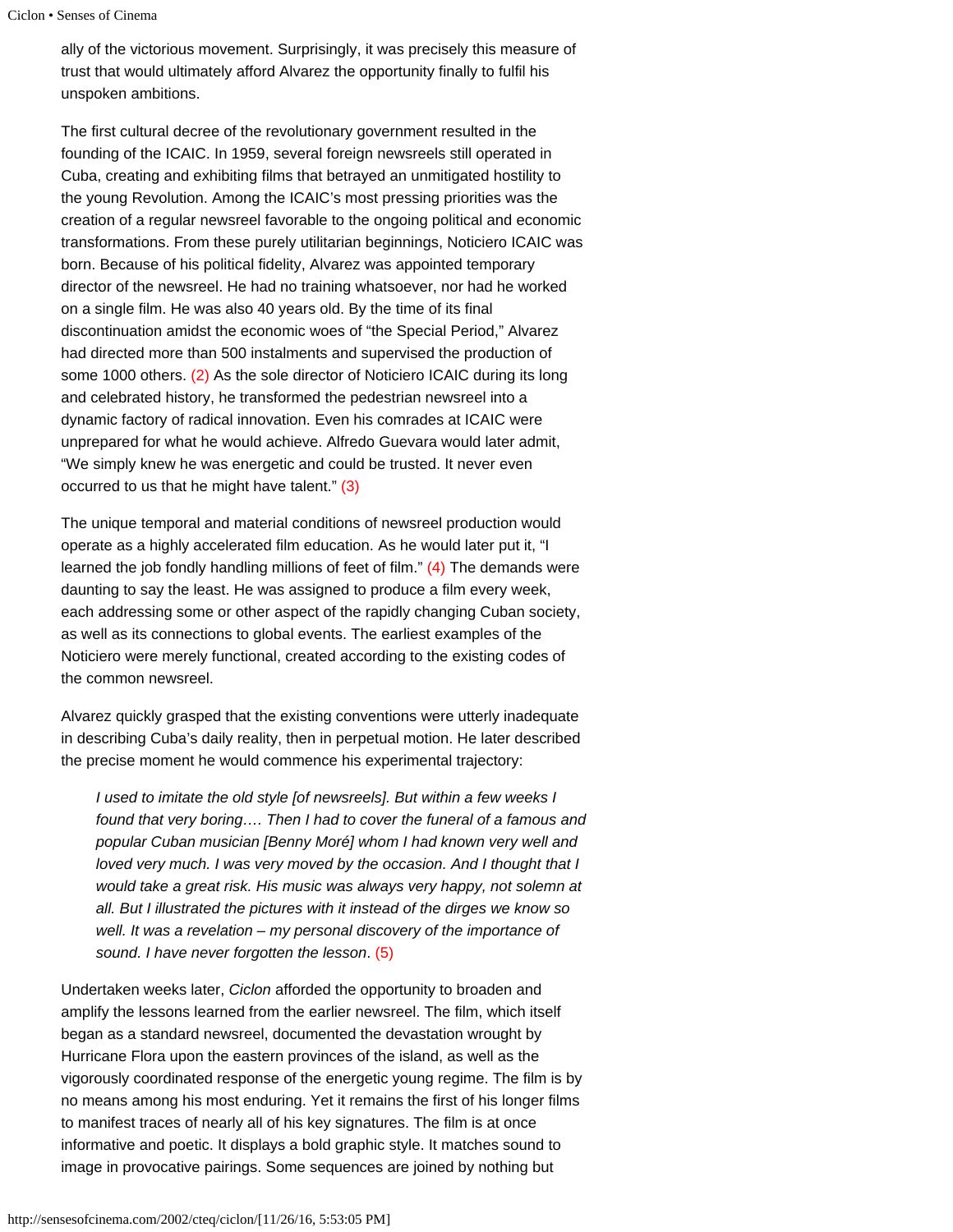```
Ciclon • Senses of Cinema
```
ally of the victorious movement. Surprisingly, it was precisely this measure of trust that would ultimately afford Alvarez the opportunity finally to fulfil his unspoken ambitions.

The first cultural decree of the revolutionary government resulted in the founding of the ICAIC. In 1959, several foreign newsreels still operated in Cuba, creating and exhibiting films that betrayed an unmitigated hostility to the young Revolution. Among the ICAIC's most pressing priorities was the creation of a regular newsreel favorable to the ongoing political and economic transformations. From these purely utilitarian beginnings, Noticiero ICAIC was born. Because of his political fidelity, Alvarez was appointed temporary director of the newsreel. He had no training whatsoever, nor had he worked on a single film. He was also 40 years old. By the time of its final discontinuation amidst the economic woes of "the Special Period," Alvarez had directed more than 500 instalments and supervised the production of some 1000 others. [\(2\)](#page-3-1) As the sole director of Noticiero ICAIC during its long and celebrated history, he transformed the pedestrian newsreel into a dynamic factory of radical innovation. Even his comrades at ICAIC were unprepared for what he would achieve. Alfredo Guevara would later admit, "We simply knew he was energetic and could be trusted. It never even occurred to us that he might have talent." [\(3\)](#page-3-2)

<span id="page-2-1"></span><span id="page-2-0"></span>The unique temporal and material conditions of newsreel production would operate as a highly accelerated film education. As he would later put it, "I learned the job fondly handling millions of feet of film." [\(4\)](#page-3-3) The demands were daunting to say the least. He was assigned to produce a film every week, each addressing some or other aspect of the rapidly changing Cuban society, as well as its connections to global events. The earliest examples of the Noticiero were merely functional, created according to the existing codes of the common newsreel.

Alvarez quickly grasped that the existing conventions were utterly inadequate in describing Cuba's daily reality, then in perpetual motion. He later described the precise moment he would commence his experimental trajectory:

*I used to imitate the old style [of newsreels]. But within a few weeks I found that very boring…. Then I had to cover the funeral of a famous and popular Cuban musician [Benny Moré] whom I had known very well and loved very much. I was very moved by the occasion. And I thought that I would take a great risk. His music was always very happy, not solemn at all. But I illustrated the pictures with it instead of the dirges we know so well. It was a revelation – my personal discovery of the importance of sound. I have never forgotten the lesson*. [\(5\)](#page-3-4)

Undertaken weeks later, *Ciclon* afforded the opportunity to broaden and amplify the lessons learned from the earlier newsreel. The film, which itself began as a standard newsreel, documented the devastation wrought by Hurricane Flora upon the eastern provinces of the island, as well as the vigorously coordinated response of the energetic young regime. The film is by no means among his most enduring. Yet it remains the first of his longer films to manifest traces of nearly all of his key signatures. The film is at once informative and poetic. It displays a bold graphic style. It matches sound to image in provocative pairings. Some sequences are joined by nothing but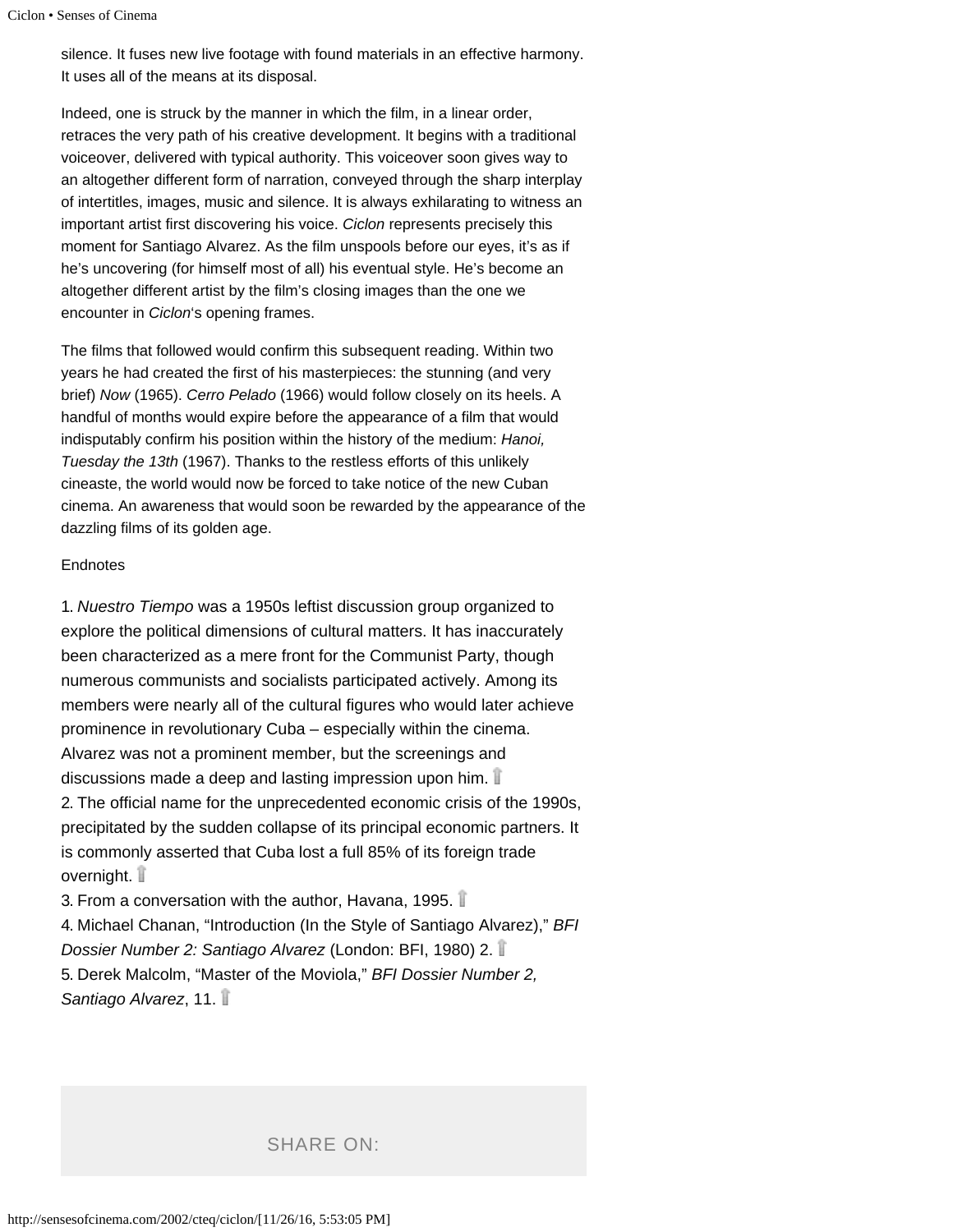silence. It fuses new live footage with found materials in an effective harmony. It uses all of the means at its disposal.

Indeed, one is struck by the manner in which the film, in a linear order, retraces the very path of his creative development. It begins with a traditional voiceover, delivered with typical authority. This voiceover soon gives way to an altogether different form of narration, conveyed through the sharp interplay of intertitles, images, music and silence. It is always exhilarating to witness an important artist first discovering his voice. *Ciclon* represents precisely this moment for Santiago Alvarez. As the film unspools before our eyes, it's as if he's uncovering (for himself most of all) his eventual style. He's become an altogether different artist by the film's closing images than the one we encounter in *Ciclon*'s opening frames.

The films that followed would confirm this subsequent reading. Within two years he had created the first of his masterpieces: the stunning (and very brief) *Now* (1965). *Cerro Pelado* (1966) would follow closely on its heels. A handful of months would expire before the appearance of a film that would indisputably confirm his position within the history of the medium: *Hanoi, Tuesday the 13th* (1967). Thanks to the restless efforts of this unlikely cineaste, the world would now be forced to take notice of the new Cuban cinema. An awareness that would soon be rewarded by the appearance of the dazzling films of its golden age.

#### **Endnotes**

<span id="page-3-0"></span>1. *Nuestro Tiempo* was a 1950s leftist discussion group organized to explore the political dimensions of cultural matters. It has inaccurately been characterized as a mere front for the Communist Party, though numerous communists and socialists participated actively. Among its members were nearly all of the cultural figures who would later achieve prominence in revolutionary Cuba – especially within the cinema. Alvarez was not a prominent member, but the screenings and discussions made a deep and lasting impression upon him. 2. The official name for the unprecedented economic crisis of the 1990s, precipitated by the sudden collapse of its principal economic partners. It is commonly asserted that Cuba lost a full 85% of its foreign trade overnight.

<span id="page-3-4"></span><span id="page-3-3"></span><span id="page-3-2"></span><span id="page-3-1"></span>3. From a conversation with the author, Havana, 1995. 4. Michael Chanan, "Introduction (In the Style of Santiago Alvarez)," *BFI Dossier Number 2: Santiago Alvarez* (London: BFI, 1980) 2. 5. Derek Malcolm, "Master of the Moviola," *BFI Dossier Number 2, Santiago Alvarez*, 11.

SHARE ON: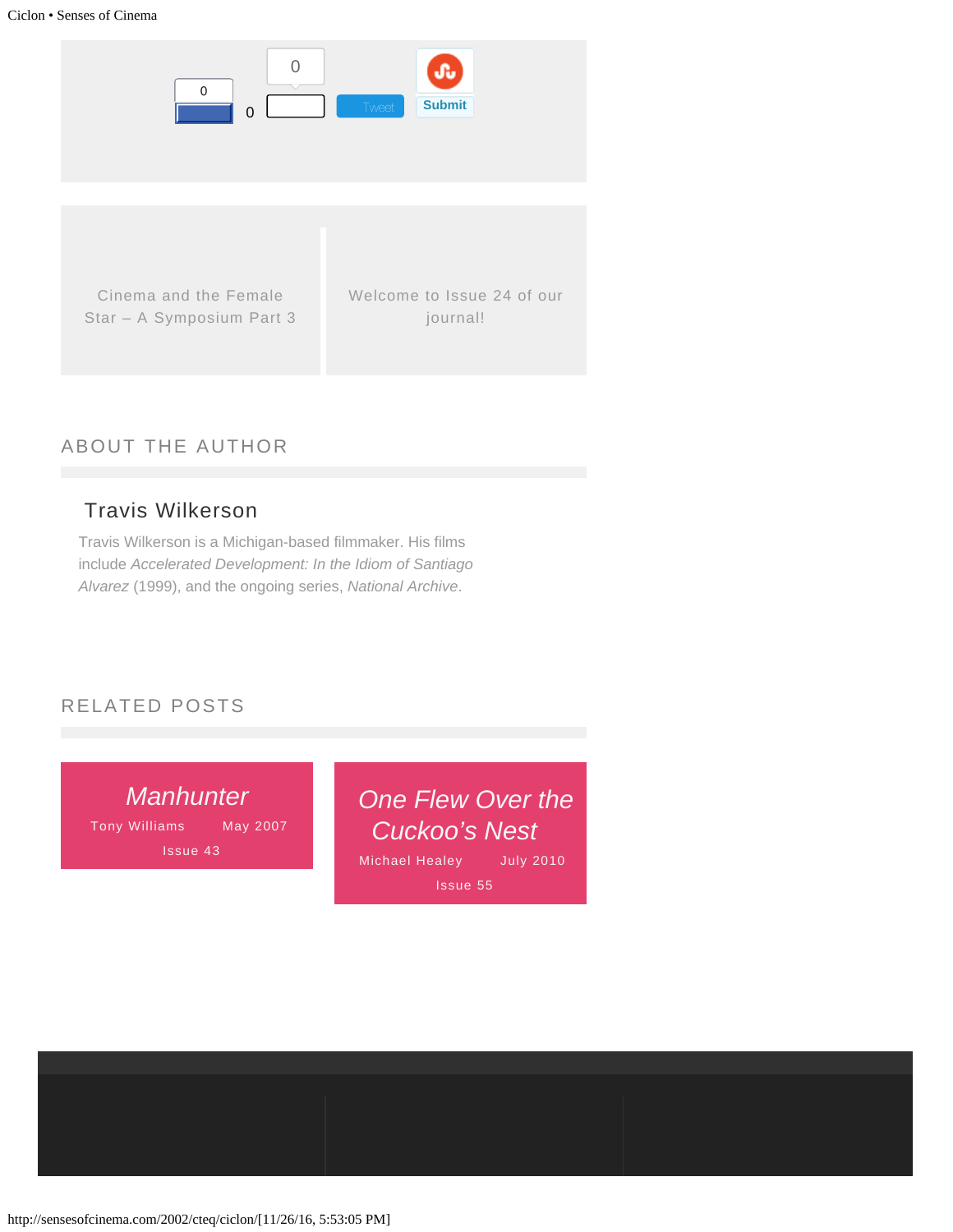

# ABOUT THE AUTHOR

# [Travis Wilkerson](http://sensesofcinema.com/author/travis-wilkerson/)

Travis Wilkerson is a Michigan-based filmmaker. His films include *Accelerated Development: In the Idiom of Santiago Alvarez* (1999), and the ongoing series, *National Archive*.

## RELATED POSTS

*[Manhunter](http://sensesofcinema.com/2007/cteq/manhunter/)* [Tony Williams](http://sensesofcinema.com/author/tony-williams/) May 2007

[Issue 43](http://sensesofcinema.com/issues/issue-43/) [Michael Healey](http://sensesofcinema.com/author/michael-healey/) July 2010 *[One Flew Over the](http://sensesofcinema.com/2010/cteq/one-flew-over-the-cuckoos-nest/) [Cuckoo's Nest](http://sensesofcinema.com/2010/cteq/one-flew-over-the-cuckoos-nest/)* [Issue 55](http://sensesofcinema.com/issues/issue-55/)